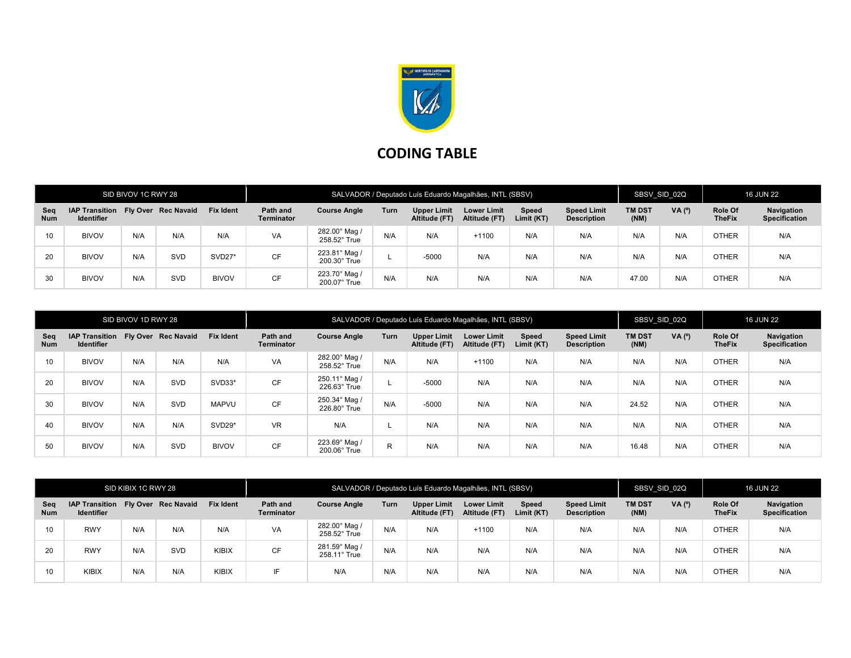

## CODING TABLE

| SID BIVOV 1C RWY 28 |                                                         |     |     |                  | SALVADOR / Deputado Luís Eduardo Magalhães, INTL (SBSV) |                                      |             |                                     |                                     |                     |                                          |                       | SBSV SID 02Q |                          | <b>16 JUN 22</b>                   |  |
|---------------------|---------------------------------------------------------|-----|-----|------------------|---------------------------------------------------------|--------------------------------------|-------------|-------------------------------------|-------------------------------------|---------------------|------------------------------------------|-----------------------|--------------|--------------------------|------------------------------------|--|
| Seq<br><b>Num</b>   | IAP Transition Fly Over Rec Navaid<br><b>Identifier</b> |     |     | <b>Fix Ident</b> | Path and<br><b>Terminator</b>                           | <b>Course Angle</b>                  | <b>Turn</b> | <b>Upper Limit</b><br>Altitude (FT) | <b>Lower Limit</b><br>Altitude (FT) | Speed<br>Limit (KT) | <b>Speed Limit</b><br><b>Description</b> | <b>TM DST</b><br>(NM) | VA (°)       | Role Of<br><b>TheFix</b> | Navigation<br><b>Specification</b> |  |
| 10                  | <b>BIVOV</b>                                            | N/A | N/A | N/A              | <b>VA</b>                                               | 282.00° Mag /<br>258.52° True        | N/A         | N/A                                 | $+1100$                             | N/A                 | N/A                                      | N/A                   | N/A          | <b>OTHER</b>             | N/A                                |  |
| 20                  | <b>BIVOV</b>                                            | N/A | SVD | SVD27*           | <b>CF</b>                                               | 223.81° Mag /<br>$200.30^\circ$ True |             | $-5000$                             | N/A                                 | N/A                 | N/A                                      | N/A                   | N/A          | <b>OTHER</b>             | N/A                                |  |
| 30                  | <b>BIVOV</b>                                            | N/A | SVD | <b>BIVOV</b>     | <b>CF</b>                                               | 223.70° Mag /<br>$200.07^\circ$ True | N/A         | N/A                                 | N/A                                 | N/A                 | N/A                                      | 47.00                 | N/A          | <b>OTHER</b>             | N/A                                |  |

| SID BIVOV 1D RWY 28 |                                                         |     |     | SALVADOR / Deputado Luís Eduardo Magalhães, INTL (SBSV) |                        |                                      |      |                                     |                                     |                     | SBSV SID 02Q                             |                       | <b>16 JUN 22</b> |                          |                                    |
|---------------------|---------------------------------------------------------|-----|-----|---------------------------------------------------------|------------------------|--------------------------------------|------|-------------------------------------|-------------------------------------|---------------------|------------------------------------------|-----------------------|------------------|--------------------------|------------------------------------|
| Seg<br><b>Num</b>   | IAP Transition Fly Over Rec Navaid<br><b>Identifier</b> |     |     | <b>Fix Ident</b>                                        | Path and<br>Terminator | <b>Course Angle</b>                  | Turn | <b>Upper Limit</b><br>Altitude (FT) | <b>Lower Limit</b><br>Altitude (FT) | Speed<br>Limit (KT) | <b>Speed Limit</b><br><b>Description</b> | <b>TM DST</b><br>(NM) | VA (°)           | Role Of<br><b>TheFix</b> | Navigation<br><b>Specification</b> |
| 10                  | <b>BIVOV</b>                                            | N/A | N/A | N/A                                                     | VA                     | 282.00° Mag /<br>258.52° True        | N/A  | N/A                                 | $+1100$                             | N/A                 | N/A                                      | N/A                   | N/A              | <b>OTHER</b>             | N/A                                |
| 20                  | <b>BIVOV</b>                                            | N/A | SVD | SVD33*                                                  | <b>CF</b>              | 250.11° Mag /<br>$226.63^\circ$ True |      | $-5000$                             | N/A                                 | N/A                 | N/A                                      | N/A                   | N/A              | <b>OTHER</b>             | N/A                                |
| 30                  | <b>BIVOV</b>                                            | N/A | SVD | <b>MAPVU</b>                                            | <b>CF</b>              | 250.34° Mag /<br>226.80° True        | N/A  | $-5000$                             | N/A                                 | N/A                 | N/A                                      | 24.52                 | N/A              | <b>OTHER</b>             | N/A                                |
| 40                  | <b>BIVOV</b>                                            | N/A | N/A | SVD29*                                                  | <b>VR</b>              | N/A                                  |      | N/A                                 | N/A                                 | N/A                 | N/A                                      | N/A                   | N/A              | <b>OTHER</b>             | N/A                                |
| 50                  | <b>BIVOV</b>                                            | N/A | SVD | <b>BIVOV</b>                                            | <b>CF</b>              | 223.69° Mag /<br>200.06° True        | R    | N/A                                 | N/A                                 | N/A                 | N/A                                      | 16.48                 | N/A              | <b>OTHER</b>             | N/A                                |

| SID KIBIX 1C RWY 28 |                                                         |     |     |                  | SALVADOR / Deputado Luís Eduardo Magalhães, INTL (SBSV) |                                      |             |                              |                                     |                     |                                          |                       | SBSV SID 02Q<br><b>16 JUN 22</b> |                          |                                    |
|---------------------|---------------------------------------------------------|-----|-----|------------------|---------------------------------------------------------|--------------------------------------|-------------|------------------------------|-------------------------------------|---------------------|------------------------------------------|-----------------------|----------------------------------|--------------------------|------------------------------------|
| Seg<br><b>Num</b>   | IAP Transition Fly Over Rec Navaid<br><b>Identifier</b> |     |     | <b>Fix Ident</b> | Path and<br><b>Terminator</b>                           | <b>Course Angle</b>                  | <b>Turn</b> | Upper Limit<br>Altitude (FT) | <b>Lower Limit</b><br>Altitude (FT) | Speed<br>Limit (KT) | <b>Speed Limit</b><br><b>Description</b> | <b>TM DST</b><br>(NM) | VA (°)                           | Role Of<br><b>TheFix</b> | Navigation<br><b>Specification</b> |
| 10                  | <b>RWY</b>                                              | N/A | N/A | N/A              | <b>VA</b>                                               | 282.00° Mag /<br>258.52° True        | N/A         | N/A                          | $+1100$                             | N/A                 | N/A                                      | N/A                   | N/A                              | <b>OTHER</b>             | N/A                                |
| 20                  | <b>RWY</b>                                              | N/A | SVD | KIBIX            | <b>CF</b>                                               | 281.59° Mag /<br>$258.11^\circ$ True | N/A         | N/A                          | N/A                                 | N/A                 | N/A                                      | N/A                   | N/A                              | <b>OTHER</b>             | N/A                                |
| 10                  | KIBIX                                                   | N/A | N/A | KIBIX            | IF                                                      | N/A                                  | N/A         | N/A                          | N/A                                 | N/A                 | N/A                                      | N/A                   | N/A                              | <b>OTHER</b>             | N/A                                |